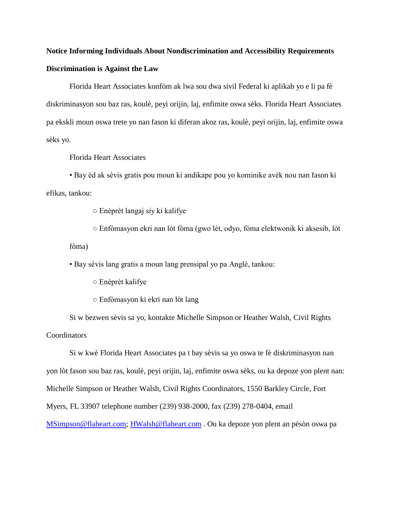## **Notice Informing Individuals About Nondiscrimination and Accessibility Requirements Discrimination is Against the Law**

Florida Heart Associates konfòm ak lwa sou dwa sivil Federal ki aplikab yo e li pa fè diskriminasyon sou baz ras, koulè, peyi orijin, laj, enfimite oswa sèks. Florida Heart Associates pa ekskli moun oswa trete yo nan fason ki diferan akoz ras, koulè, peyi orijin, laj, enfimite oswa sèks yo.

Florida Heart Associates

• Bay èd ak sèvis gratis pou moun ki andikape pou yo kominike avèk nou nan fason ki efikas, tankou:

○ Enèprèt langaj siy ki kalifye

○ Enfòmasyon ekri nan lòt fòma (gwo lèt, odyo, fòma elektwonik ki aksesib, lòt fòma)

• Bay sèvis lang gratis a moun lang prensipal yo pa Anglè, tankou:

○ Enèprèt kalifye

○ Enfòmasyon ki ekri nan lòt lang

Si w bezwen sèvis sa yo, kontakte Michelle Simpson or Heather Walsh, Civil Rights **Coordinators** 

Si w kwè Florida Heart Associates pa t bay sèvis sa yo oswa te fè diskriminasyon nan yon lòt fason sou baz ras, koulè, peyi orijin, laj, enfimite oswa sèks, ou ka depoze yon plent nan: Michelle Simpson or Heather Walsh, Civil Rights Coordinators, 1550 Barkley Circle, Fort Myers, FL 33907 telephone number (239) 938-2000, fax (239) 278-0404, email [MSimpson@flaheart.com;](mailto:MSimpson@flaheart.com) [HWalsh@flaheart.com](mailto:HWalsh@flaheart.com) . Ou ka depoze yon plent an pèsòn oswa pa